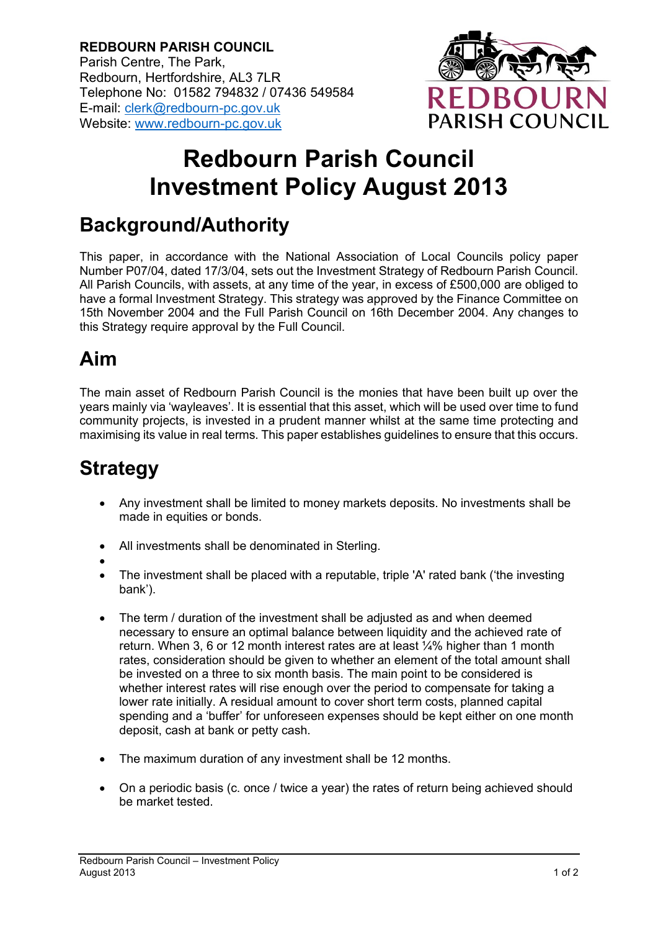**REDBOURN PARISH COUNCIL** Parish Centre, The Park, Redbourn, Hertfordshire, AL3 7LR Telephone No: 01582 794832 / 07436 549584 E-mail: [clerk@redbourn-pc.gov.uk](mailto:clerk@redbourn-pc.gov.uk) Website: [www.redbourn-pc.gov.uk](http://www.redbourn-pc.gov.uk/)



# **Redbourn Parish Council Investment Policy August 2013**

### **Background/Authority**

This paper, in accordance with the National Association of Local Councils policy paper Number P07/04, dated 17/3/04, sets out the Investment Strategy of Redbourn Parish Council. All Parish Councils, with assets, at any time of the year, in excess of £500,000 are obliged to have a formal Investment Strategy. This strategy was approved by the Finance Committee on 15th November 2004 and the Full Parish Council on 16th December 2004. Any changes to this Strategy require approval by the Full Council.

### **Aim**

The main asset of Redbourn Parish Council is the monies that have been built up over the years mainly via 'wayleaves'. It is essential that this asset, which will be used over time to fund community projects, is invested in a prudent manner whilst at the same time protecting and maximising its value in real terms. This paper establishes guidelines to ensure that this occurs.

## **Strategy**

- Any investment shall be limited to money markets deposits. No investments shall be made in equities or bonds.
- All investments shall be denominated in Sterling.
- •
- The investment shall be placed with a reputable, triple 'A' rated bank ('the investing bank').
- The term / duration of the investment shall be adjusted as and when deemed necessary to ensure an optimal balance between liquidity and the achieved rate of return. When 3, 6 or 12 month interest rates are at least ¼% higher than 1 month rates, consideration should be given to whether an element of the total amount shall be invested on a three to six month basis. The main point to be considered is whether interest rates will rise enough over the period to compensate for taking a lower rate initially. A residual amount to cover short term costs, planned capital spending and a 'buffer' for unforeseen expenses should be kept either on one month deposit, cash at bank or petty cash.
- The maximum duration of any investment shall be 12 months.
- On a periodic basis (c. once / twice a year) the rates of return being achieved should be market tested.